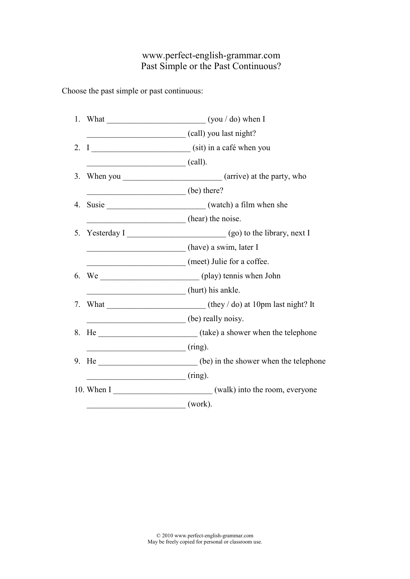## www.perfect-english-grammar.com Past Simple or the Past Continuous?

Choose the past simple or past continuous:

|    |                                  | 1. What $\frac{1}{\sqrt{1-\frac{1}{\sqrt{1-\frac{1}{\sqrt{1-\frac{1}{\sqrt{1-\frac{1}{\sqrt{1-\frac{1}{\sqrt{1-\frac{1}{\sqrt{1-\frac{1}{\sqrt{1-\frac{1}{\sqrt{1-\frac{1}{\sqrt{1-\frac{1}{\sqrt{1-\frac{1}{\sqrt{1-\frac{1}{\sqrt{1-\frac{1}{\sqrt{1-\frac{1}{\sqrt{1-\frac{1}{\sqrt{1-\frac{1}{\sqrt{1-\frac{1}{\sqrt{1-\frac{1}{\sqrt{1-\frac{1}{\sqrt{1-\frac{1}{\sqrt{1-\frac{1}{\sqrt{1-\frac{1}{\sqrt{1-\frac{1}{$ |
|----|----------------------------------|----------------------------------------------------------------------------------------------------------------------------------------------------------------------------------------------------------------------------------------------------------------------------------------------------------------------------------------------------------------------------------------------------------------------------|
|    |                                  | (call) you last night?                                                                                                                                                                                                                                                                                                                                                                                                     |
| 2. |                                  |                                                                                                                                                                                                                                                                                                                                                                                                                            |
|    | $\overline{\phantom{a}}$ (call). |                                                                                                                                                                                                                                                                                                                                                                                                                            |
| 3. |                                  |                                                                                                                                                                                                                                                                                                                                                                                                                            |
|    | (be) there?                      |                                                                                                                                                                                                                                                                                                                                                                                                                            |
| 4. |                                  |                                                                                                                                                                                                                                                                                                                                                                                                                            |
|    |                                  | (hear) the noise.                                                                                                                                                                                                                                                                                                                                                                                                          |
| 5. |                                  | Yesterday I (go) to the library, next I                                                                                                                                                                                                                                                                                                                                                                                    |
|    |                                  | (have) a swim, later I                                                                                                                                                                                                                                                                                                                                                                                                     |
|    |                                  | (meet) Julie for a coffee.                                                                                                                                                                                                                                                                                                                                                                                                 |
|    |                                  |                                                                                                                                                                                                                                                                                                                                                                                                                            |
|    |                                  | (hurt) his ankle.                                                                                                                                                                                                                                                                                                                                                                                                          |
| 7. |                                  |                                                                                                                                                                                                                                                                                                                                                                                                                            |
|    |                                  | (be) really noisy.                                                                                                                                                                                                                                                                                                                                                                                                         |
| 8. |                                  |                                                                                                                                                                                                                                                                                                                                                                                                                            |
|    | $\overline{\phantom{a}}$ (ring). |                                                                                                                                                                                                                                                                                                                                                                                                                            |
| 9. |                                  | He ________________________(be) in the shower when the telephone                                                                                                                                                                                                                                                                                                                                                           |
|    | $(ring)$ .                       |                                                                                                                                                                                                                                                                                                                                                                                                                            |
|    |                                  | 10. When I (walk) into the room, everyone                                                                                                                                                                                                                                                                                                                                                                                  |
|    |                                  | (work).                                                                                                                                                                                                                                                                                                                                                                                                                    |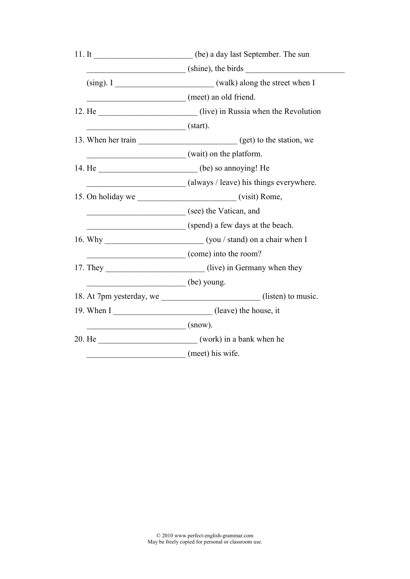|                                   | 11. It _____________________________ (be) a day last September. The sun     |
|-----------------------------------|-----------------------------------------------------------------------------|
|                                   | $(shine)$ , the birds $\frac{1}{s-1}$                                       |
|                                   | (sing). I ________________________________(walk) along the street when I    |
|                                   | (meet) an old friend.                                                       |
|                                   | 12. He ________________________________(live) in Russia when the Revolution |
| $\overline{\phantom{a}}$ (start). |                                                                             |
|                                   |                                                                             |
|                                   | wait) on the platform.                                                      |
|                                   | 14. He ________________________________(be) so annoying! He                 |
|                                   | (always / leave) his things everywhere.                                     |
|                                   |                                                                             |
|                                   | (see) the Vatican, and                                                      |
|                                   | (spend) a few days at the beach.                                            |
|                                   |                                                                             |
|                                   | (come) into the room?                                                       |
|                                   | 17. They _________________________(live) in Germany when they               |
| $(be)$ young.                     |                                                                             |
|                                   | 18. At 7pm yesterday, we ________________________(listen) to music.         |
|                                   | 19. When I (leave) the house, it                                            |
| $\frac{\ }{\ }$ (snow).           |                                                                             |
|                                   | 20. He (work) in a bank when he                                             |
|                                   | (meet) his wife.                                                            |